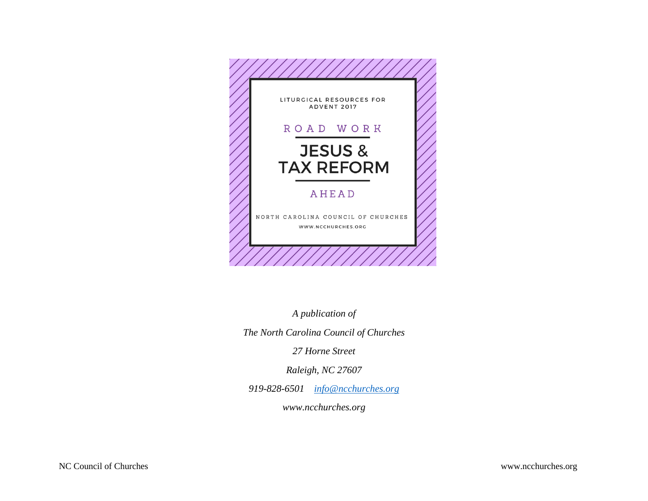

*A publication of*

*The North Carolina Council of Churches*

*27 Horne Street*

*Raleigh, NC 27607*

*919-828-6501 [info@ncchurches.org](mailto:info@ncchurches.org)*

*www.ncchurches.org*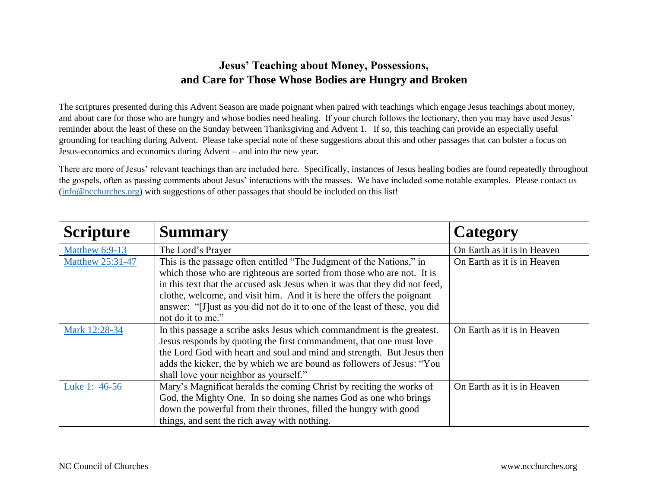## **Jesus' Teaching about Money, Possessions, and Care for Those Whose Bodies are Hungry and Broken**

The scriptures presented during this Advent Season are made poignant when paired with teachings which engage Jesus teachings about money, and about care for those who are hungry and whose bodies need healing. If your church follows the lectionary, then you may have used Jesus' reminder about the least of these on the Sunday between Thanksgiving and Advent 1. If so, this teaching can provide an especially useful grounding for teaching during Advent. Please take special note of these suggestions about this and other passages that can bolster a focus on Jesus-economics and economics during Advent – and into the new year.

There are more of Jesus' relevant teachings than are included here. Specifically, instances of Jesus healing bodies are found repeatedly throughout the gospels, often as passing comments about Jesus' interactions with the masses. We have included some notable examples. Please contact us [\(info@ncchurches.org\)](mailto:info@ncchurches.org) with suggestions of other passages that should be included on this list!

| <b>Scripture</b>        | <b>Summary</b>                                                                                                                                 | Category                    |
|-------------------------|------------------------------------------------------------------------------------------------------------------------------------------------|-----------------------------|
| <b>Matthew 6:9-13</b>   | The Lord's Prayer                                                                                                                              | On Earth as it is in Heaven |
| <b>Matthew 25:31-47</b> | This is the passage often entitled "The Judgment of the Nations," in<br>which those who are righteous are sorted from those who are not. It is | On Earth as it is in Heaven |
|                         | in this text that the accused ask Jesus when it was that they did not feed,                                                                    |                             |
|                         | clothe, welcome, and visit him. And it is here the offers the poignant                                                                         |                             |
|                         | answer: "[J] ust as you did not do it to one of the least of these, you did                                                                    |                             |
|                         | not do it to me."                                                                                                                              |                             |
| Mark 12:28-34           | In this passage a scribe asks Jesus which commandment is the greatest.                                                                         | On Earth as it is in Heaven |
|                         | Jesus responds by quoting the first commandment, that one must love                                                                            |                             |
|                         | the Lord God with heart and soul and mind and strength. But Jesus then                                                                         |                             |
|                         | adds the kicker, the by which we are bound as followers of Jesus: "You                                                                         |                             |
|                         | shall love your neighbor as yourself."                                                                                                         |                             |
| Luke 1: 46-56           | Mary's Magnificat heralds the coming Christ by reciting the works of                                                                           | On Earth as it is in Heaven |
|                         | God, the Mighty One. In so doing she names God as one who brings                                                                               |                             |
|                         | down the powerful from their thrones, filled the hungry with good                                                                              |                             |
|                         | things, and sent the rich away with nothing.                                                                                                   |                             |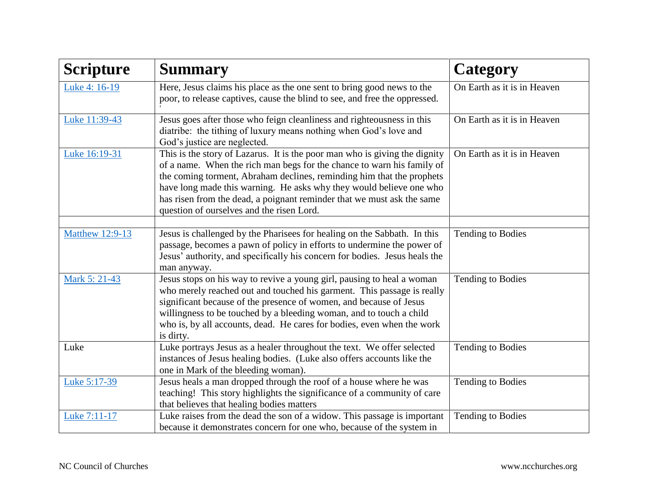| <b>Scripture</b>       | <b>Summary</b>                                                                                                                                                                                                                                                                                                                                                                                                              | <b>Category</b>             |
|------------------------|-----------------------------------------------------------------------------------------------------------------------------------------------------------------------------------------------------------------------------------------------------------------------------------------------------------------------------------------------------------------------------------------------------------------------------|-----------------------------|
| Luke 4: 16-19          | Here, Jesus claims his place as the one sent to bring good news to the<br>poor, to release captives, cause the blind to see, and free the oppressed.                                                                                                                                                                                                                                                                        | On Earth as it is in Heaven |
| Luke 11:39-43          | Jesus goes after those who feign cleanliness and righteousness in this<br>diatribe: the tithing of luxury means nothing when God's love and<br>God's justice are neglected.                                                                                                                                                                                                                                                 | On Earth as it is in Heaven |
| Luke 16:19-31          | This is the story of Lazarus. It is the poor man who is giving the dignity<br>of a name. When the rich man begs for the chance to warn his family of<br>the coming torment, Abraham declines, reminding him that the prophets<br>have long made this warning. He asks why they would believe one who<br>has risen from the dead, a poignant reminder that we must ask the same<br>question of ourselves and the risen Lord. | On Earth as it is in Heaven |
| <b>Matthew 12:9-13</b> | Jesus is challenged by the Pharisees for healing on the Sabbath. In this<br>passage, becomes a pawn of policy in efforts to undermine the power of<br>Jesus' authority, and specifically his concern for bodies. Jesus heals the<br>man anyway.                                                                                                                                                                             | Tending to Bodies           |
| Mark 5: 21-43          | Jesus stops on his way to revive a young girl, pausing to heal a woman<br>who merely reached out and touched his garment. This passage is really<br>significant because of the presence of women, and because of Jesus<br>willingness to be touched by a bleeding woman, and to touch a child<br>who is, by all accounts, dead. He cares for bodies, even when the work<br>is dirty.                                        | <b>Tending to Bodies</b>    |
| Luke                   | Luke portrays Jesus as a healer throughout the text. We offer selected<br>instances of Jesus healing bodies. (Luke also offers accounts like the<br>one in Mark of the bleeding woman).                                                                                                                                                                                                                                     | Tending to Bodies           |
| Luke 5:17-39           | Jesus heals a man dropped through the roof of a house where he was<br>teaching! This story highlights the significance of a community of care<br>that believes that healing bodies matters                                                                                                                                                                                                                                  | <b>Tending to Bodies</b>    |
| Luke 7:11-17           | Luke raises from the dead the son of a widow. This passage is important<br>because it demonstrates concern for one who, because of the system in                                                                                                                                                                                                                                                                            | Tending to Bodies           |